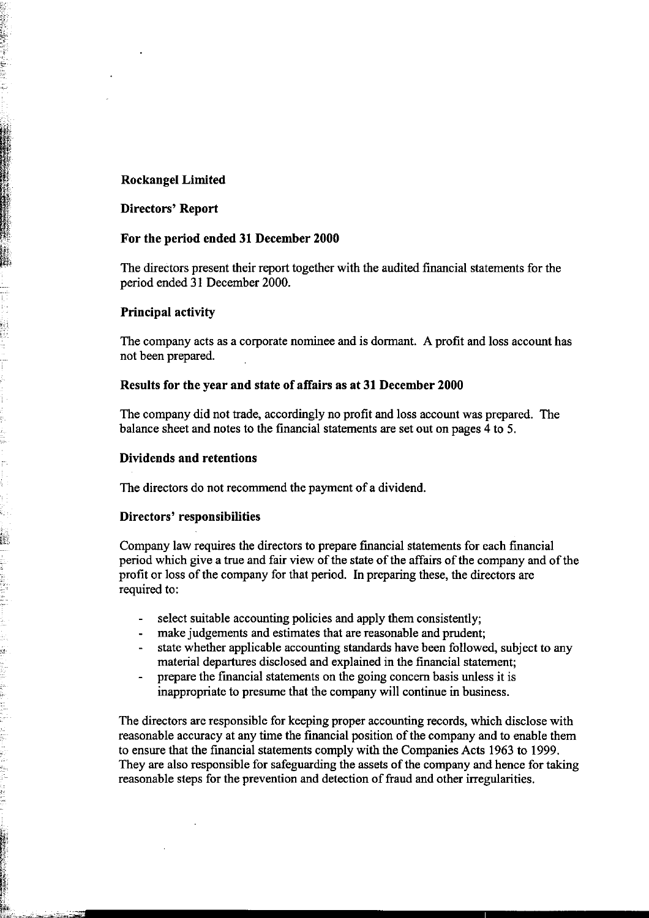### **Rockangel Limited**

#### **Directors' Report**

【 【 【 】 】 【 】 【 】 【 】 【 】 【 】 】 【 】 】 【 】 【 】 【 】 【 】 】 【 】 】 【 】 】 【 】 】 【 】 】 【 】 】 【 】 】 【 】 【 】 【 】 【 】 【 】 【 】 【 】 【 】 】 【 】 【 】 】 【 】 】 【 】 】 【 】 】 【 】 】 【 】 】 【 】 】 【 】 】 【 】 】 【 】 】 【 】 】 【 】 】 【 】 】 【 】 】 【 】 】

#### **For the period ended 31 December 2000**

The directors present their report together with the audited financial statements for the period ended 31 December 2000.

#### **Principal activity**

The company acts as a corporate nominee and is dormant. A profit and loss account has not been prepared.

### **Results for the year and state of affairs as at 31 December 2000**

The company did not trade, accordingly no profit and loss account was prepared. The balance sheet and notes to the financial statements are set out on pages 4 to 5.

#### **Dividends and retentions**

The directors do not recommend the payment of a dividend.

#### **Directors' responsibilities**

Company law requires the directors to prepare financial statements for each financial period which give a true and fair view of the state of the affairs of the company and of the profit or loss of the company for that period. In preparing these, the directors are required to:

- select suitable accounting policies and apply them consistently;
- make judgements and estimates that are reasonable and prudent;  $\mathbf{L}^{\text{max}}$
- state whether applicable accounting standards have been followed, subject to any material departures disclosed and explained in the financial statement;
- prepare the fmancial statements on the going concern basis unless it is inappropriate to presume that the company will continue in business.

The directors are responsible for keeping proper accounting records, which disclose with reasonable accuracy at any time the financial position of the company and to enable them to ensure that the financial statements comply with the Companies Acts 1963 to 1999. They are also responsible for safeguarding the assets of the company and hence for taking reasonable steps for the prevention and detection of fraud and other irregularities.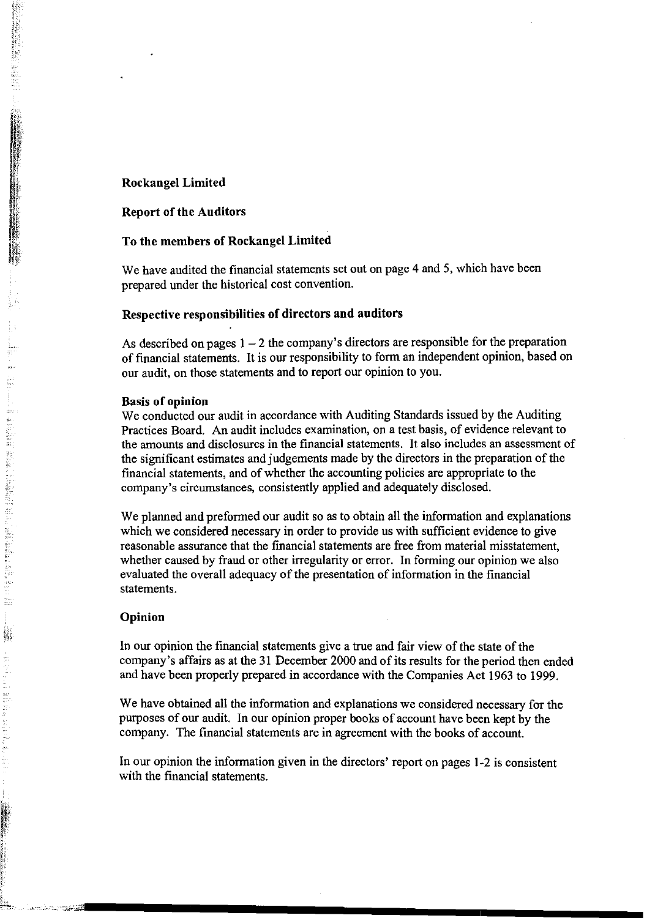#### **Rockangel Limited**

- 2007年に新藤の新鮮語 The Second Hander House

si mengel

### **Report of the Auditors**

### **To the members of Rockangel Limited**

We have audited the financial statements set out on page 4 and 5, which have been prepared under the historical cost convention.

#### **Respective responsibilities of directors and auditors**

As described on pages  $1 - 2$  the company's directors are responsible for the preparation of financial statements. It is our responsibility to form an independent opinion, based on our audit, on those statements and to report our opinion to you.

#### **Basis of opinion**

We conducted our audit in accordance with Auditing Standards issued by the Auditing Practices Board. An audit includes examination, on a test basis, of evidence relevant to the amounts and disclosures in the financial statements. It also includes an assessment of the significant estimates and judgements made by the directors in the preparation of the financial statements, and of whether the accounting policies are appropriate to the company's circumstances, consistently applied and adequately disclosed.

We planned and preformed our audit so as to obtain all the information and explanations which we considered necessary in order to provide us with sufficient evidence to give reasonable assurance that the financial statements are free from material misstatement, whether caused by fraud or other irregularity or error. In forming our opinion we also evaluated the overall adequacy of the presentation of information in the financial statements.

#### **Opinion**

In our opinion the financial statements give a true and fair view of the state of the company's affairs as at the 31 December 2000 and of its results for the period then ended and have been properly prepared in accordance with the Companies Act 1963 to 1999.

We have obtained all the information and explanations we considered necessary for the purposes of our audit. In our opinion proper books of account have been kept by the company. The financial statements are in agreement with the books of account.

In our opinion the information given in the directors' report on pages 1-2 is consistent with the financial statements.